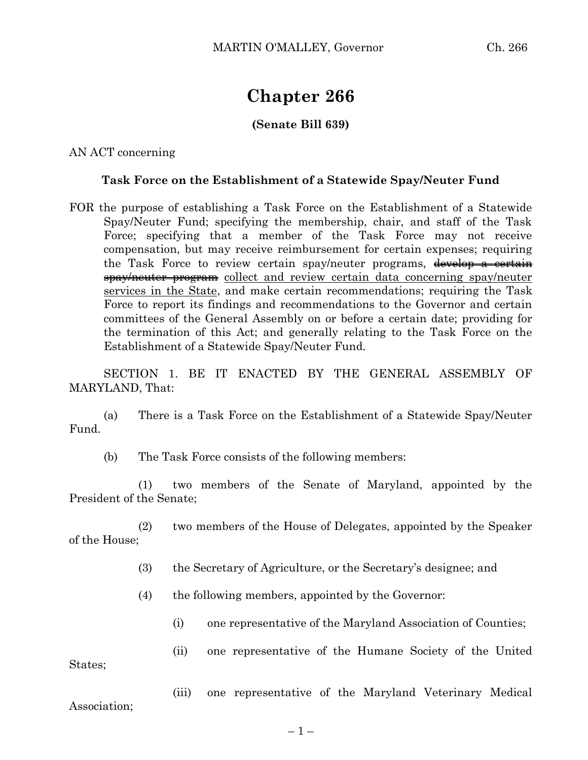## **Chapter 266**

## **(Senate Bill 639)**

AN ACT concerning

## **Task Force on the Establishment of a Statewide Spay/Neuter Fund**

FOR the purpose of establishing a Task Force on the Establishment of a Statewide Spay/Neuter Fund; specifying the membership, chair, and staff of the Task Force; specifying that a member of the Task Force may not receive compensation, but may receive reimbursement for certain expenses; requiring the Task Force to review certain spay/neuter programs, develop a certain spay/neuter program collect and review certain data concerning spay/neuter services in the State, and make certain recommendations; requiring the Task Force to report its findings and recommendations to the Governor and certain committees of the General Assembly on or before a certain date; providing for the termination of this Act; and generally relating to the Task Force on the Establishment of a Statewide Spay/Neuter Fund.

SECTION 1. BE IT ENACTED BY THE GENERAL ASSEMBLY OF MARYLAND, That:

(a) There is a Task Force on the Establishment of a Statewide Spay/Neuter Fund.

(b) The Task Force consists of the following members:

(1) two members of the Senate of Maryland, appointed by the President of the Senate;

(2) two members of the House of Delegates, appointed by the Speaker of the House;

- (3) the Secretary of Agriculture, or the Secretary's designee; and
- (4) the following members, appointed by the Governor:
	- (i) one representative of the Maryland Association of Counties;

(ii) one representative of the Humane Society of the United States;

Association;

(iii) one representative of the Maryland Veterinary Medical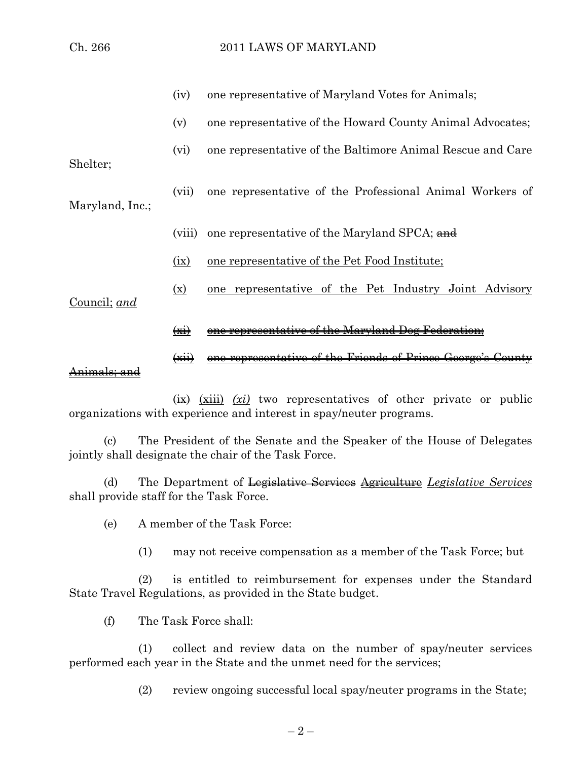|                 | (iv)                            | one representative of Maryland Votes for Animals;          |
|-----------------|---------------------------------|------------------------------------------------------------|
|                 | (v)                             | one representative of the Howard County Animal Advocates;  |
| Shelter;        | (vi)                            | one representative of the Baltimore Animal Rescue and Care |
| Maryland, Inc.; | (vii)                           | one representative of the Professional Animal Workers of   |
|                 | (viii)                          | one representative of the Maryland SPCA; and               |
| Council; and    | (ix)                            | one representative of the Pet Food Institute;              |
|                 | $(\underline{x})$               | one representative of the Pet Industry Joint Advisory      |
|                 | $\left(\frac{1}{2}x + 1\right)$ | <u>Maryland</u>                                            |

## (xii) one representative of the Friends of Prince George's County Animals; and

 $\overrightarrow{xx}$   $\overrightarrow{xx}$   $\overrightarrow{xi}$   $\overrightarrow{xi}$  two representatives of other private or public organizations with experience and interest in spay/neuter programs.

(c) The President of the Senate and the Speaker of the House of Delegates jointly shall designate the chair of the Task Force.

(d) The Department of Legislative Services Agriculture *Legislative Services* shall provide staff for the Task Force.

(e) A member of the Task Force:

(1) may not receive compensation as a member of the Task Force; but

(2) is entitled to reimbursement for expenses under the Standard State Travel Regulations, as provided in the State budget.

(f) The Task Force shall:

(1) collect and review data on the number of spay/neuter services performed each year in the State and the unmet need for the services;

(2) review ongoing successful local spay/neuter programs in the State;